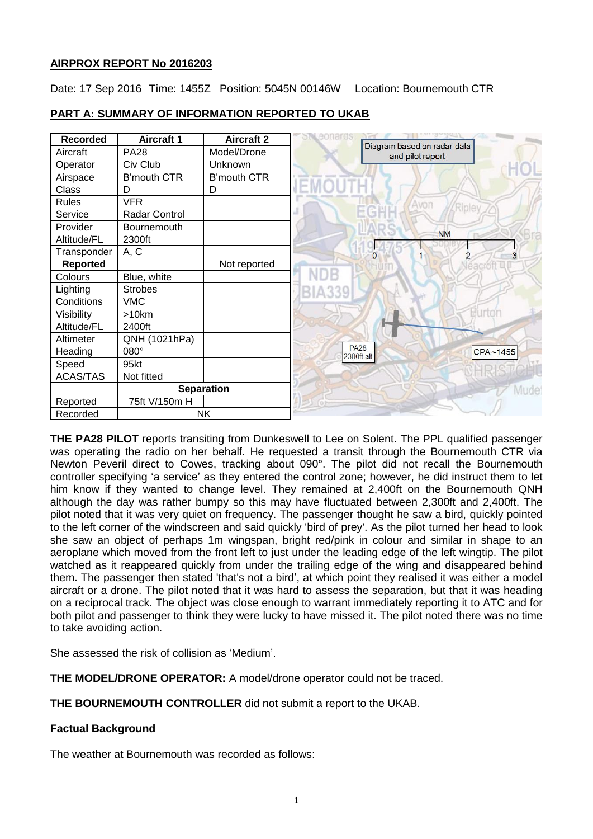## **AIRPROX REPORT No 2016203**

Date: 17 Sep 2016 Time: 1455Z Position: 5045N 00146W Location: Bournemouth CTR

| <b>Recorded</b> | <b>Aircraft 1</b>  | <b>Aircraft 2</b>  |                           |                                                 |
|-----------------|--------------------|--------------------|---------------------------|-------------------------------------------------|
| Aircraft        | <b>PA28</b>        | Model/Drone        |                           | Diagram based on radar data<br>and pilot report |
| Operator        | Civ Club           | Unknown            |                           |                                                 |
| Airspace        | <b>B'mouth CTR</b> | <b>B'mouth CTR</b> |                           |                                                 |
| Class           | D                  | D                  |                           |                                                 |
| <b>Rules</b>    | <b>VFR</b>         |                    |                           | Avon                                            |
| Service         | Radar Control      |                    |                           |                                                 |
| Provider        | <b>Bournemouth</b> |                    |                           |                                                 |
| Altitude/FL     | 2300ft             |                    |                           | <b>NM</b>                                       |
| Transponder     | A, C               |                    | $\Omega$                  | $\overline{2}$                                  |
| Reported        |                    | Not reported       |                           |                                                 |
| Colours         | Blue, white        |                    |                           |                                                 |
| Lighting        | <b>Strobes</b>     |                    |                           |                                                 |
| Conditions      | <b>VMC</b>         |                    |                           |                                                 |
| Visibility      | >10km              |                    |                           | Burton                                          |
| Altitude/FL     | 2400ft             |                    |                           |                                                 |
| Altimeter       | QNH (1021hPa)      |                    |                           |                                                 |
| Heading         | 080°               |                    | <b>PA28</b><br>2300ft alt | CPA~1455                                        |
| Speed           | 95kt               |                    |                           |                                                 |
| <b>ACAS/TAS</b> | Not fitted         |                    |                           |                                                 |
|                 | <b>Separation</b>  |                    |                           |                                                 |
| Reported        | 75ft V/150m H      |                    |                           |                                                 |
| Recorded        | <b>NK</b>          |                    |                           |                                                 |

## **PART A: SUMMARY OF INFORMATION REPORTED TO UKAB**

**THE PA28 PILOT** reports transiting from Dunkeswell to Lee on Solent. The PPL qualified passenger was operating the radio on her behalf. He requested a transit through the Bournemouth CTR via Newton Peveril direct to Cowes, tracking about 090°. The pilot did not recall the Bournemouth controller specifying 'a service' as they entered the control zone; however, he did instruct them to let him know if they wanted to change level. They remained at 2,400ft on the Bournemouth QNH although the day was rather bumpy so this may have fluctuated between 2,300ft and 2,400ft. The pilot noted that it was very quiet on frequency. The passenger thought he saw a bird, quickly pointed to the left corner of the windscreen and said quickly 'bird of prey'. As the pilot turned her head to look she saw an object of perhaps 1m wingspan, bright red/pink in colour and similar in shape to an aeroplane which moved from the front left to just under the leading edge of the left wingtip. The pilot watched as it reappeared quickly from under the trailing edge of the wing and disappeared behind them. The passenger then stated 'that's not a bird', at which point they realised it was either a model aircraft or a drone. The pilot noted that it was hard to assess the separation, but that it was heading on a reciprocal track. The object was close enough to warrant immediately reporting it to ATC and for both pilot and passenger to think they were lucky to have missed it. The pilot noted there was no time to take avoiding action.

She assessed the risk of collision as 'Medium'.

**THE MODEL/DRONE OPERATOR:** A model/drone operator could not be traced.

**THE BOURNEMOUTH CONTROLLER** did not submit a report to the UKAB.

# **Factual Background**

The weather at Bournemouth was recorded as follows: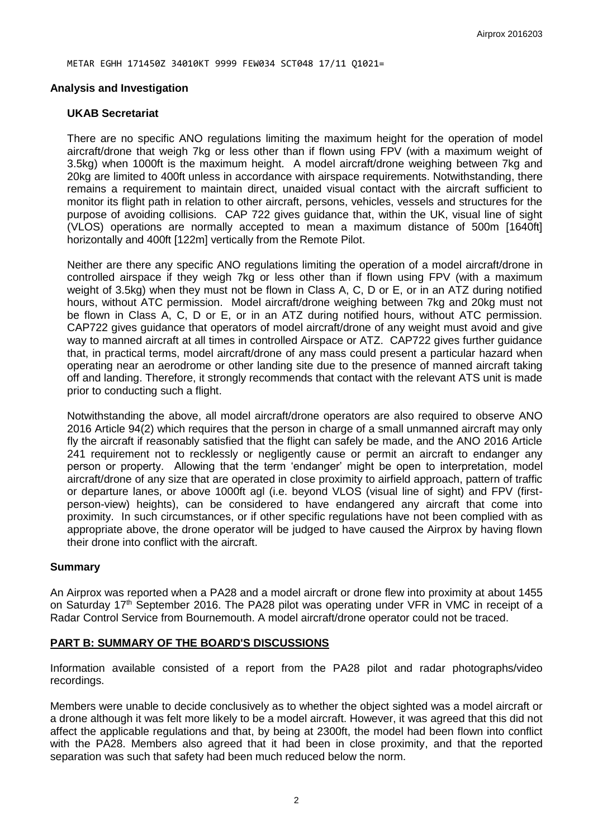METAR EGHH 171450Z 34010KT 9999 FEW034 SCT048 17/11 Q1021=

#### **Analysis and Investigation**

#### **UKAB Secretariat**

There are no specific ANO regulations limiting the maximum height for the operation of model aircraft/drone that weigh 7kg or less other than if flown using FPV (with a maximum weight of 3.5kg) when 1000ft is the maximum height. A model aircraft/drone weighing between 7kg and 20kg are limited to 400ft unless in accordance with airspace requirements. Notwithstanding, there remains a requirement to maintain direct, unaided visual contact with the aircraft sufficient to monitor its flight path in relation to other aircraft, persons, vehicles, vessels and structures for the purpose of avoiding collisions. CAP 722 gives guidance that, within the UK, visual line of sight (VLOS) operations are normally accepted to mean a maximum distance of 500m [1640ft] horizontally and 400ft [122m] vertically from the Remote Pilot.

Neither are there any specific ANO regulations limiting the operation of a model aircraft/drone in controlled airspace if they weigh 7kg or less other than if flown using FPV (with a maximum weight of 3.5kg) when they must not be flown in Class A, C, D or E, or in an ATZ during notified hours, without ATC permission. Model aircraft/drone weighing between 7kg and 20kg must not be flown in Class A, C, D or E, or in an ATZ during notified hours, without ATC permission. CAP722 gives guidance that operators of model aircraft/drone of any weight must avoid and give way to manned aircraft at all times in controlled Airspace or ATZ. CAP722 gives further guidance that, in practical terms, model aircraft/drone of any mass could present a particular hazard when operating near an aerodrome or other landing site due to the presence of manned aircraft taking off and landing. Therefore, it strongly recommends that contact with the relevant ATS unit is made prior to conducting such a flight.

Notwithstanding the above, all model aircraft/drone operators are also required to observe ANO 2016 Article 94(2) which requires that the person in charge of a small unmanned aircraft may only fly the aircraft if reasonably satisfied that the flight can safely be made, and the ANO 2016 Article 241 requirement not to recklessly or negligently cause or permit an aircraft to endanger any person or property. Allowing that the term 'endanger' might be open to interpretation, model aircraft/drone of any size that are operated in close proximity to airfield approach, pattern of traffic or departure lanes, or above 1000ft agl (i.e. beyond VLOS (visual line of sight) and FPV (firstperson-view) heights), can be considered to have endangered any aircraft that come into proximity. In such circumstances, or if other specific regulations have not been complied with as appropriate above, the drone operator will be judged to have caused the Airprox by having flown their drone into conflict with the aircraft.

## **Summary**

An Airprox was reported when a PA28 and a model aircraft or drone flew into proximity at about 1455 on Saturday 17<sup>th</sup> September 2016. The PA28 pilot was operating under VFR in VMC in receipt of a Radar Control Service from Bournemouth. A model aircraft/drone operator could not be traced.

## **PART B: SUMMARY OF THE BOARD'S DISCUSSIONS**

Information available consisted of a report from the PA28 pilot and radar photographs/video recordings.

Members were unable to decide conclusively as to whether the object sighted was a model aircraft or a drone although it was felt more likely to be a model aircraft. However, it was agreed that this did not affect the applicable regulations and that, by being at 2300ft, the model had been flown into conflict with the PA28. Members also agreed that it had been in close proximity, and that the reported separation was such that safety had been much reduced below the norm.